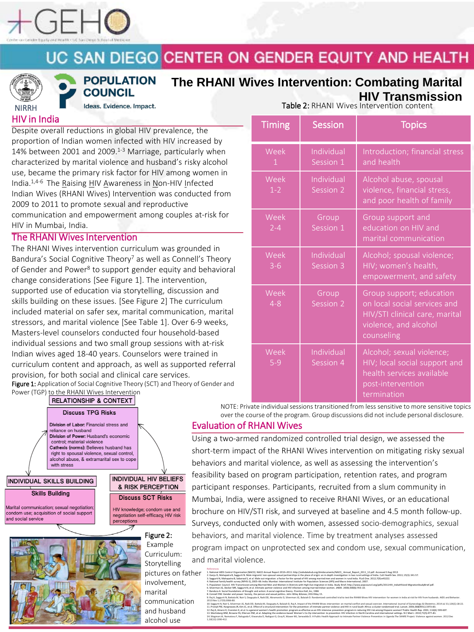

# UC SAN DIEGO CENTER ON GENDER EQUITY AND HEALTH



**POPULATION COUNCIL** 

Ideas. Evidence. Impact.

## **The RHANI Wives Intervention: Combating Marital HIV Transmission**

HIV in India

INDIVIDUAL

Marital communic condom use; acq nd social service

Despite overall reductions in global HIV prevalence, the proportion of Indian women infected with HIV increased by 14% between 2001 and 2009. $1-3$  Marriage, particularly when characterized by marital violence and husband's risky alcohol use, became the primary risk factor for HIV among women in India.1,4-6 The Raising HIV Awareness in Non-HIV Infected Indian Wives (RHANI Wives) Intervention was conducted from 2009 to 2011 to promote sexual and reproductive communication and empowerment among couples at-risk for HIV in Mumbai, India.

### The RHANI Wives Intervention

The RHANI Wives intervention curriculum was grounded in Bandura's Social Cognitive Theory<sup>7</sup> as well as Connell's Theory of Gender and Power<sup>8</sup> to support gender equity and behavioral change considerations [See Figure 1]. The intervention, supported use of education via storytelling, discussion and skills building on these issues. [See Figure 2] The curriculum included material on safer sex, marital communication, marital stressors, and marital violence [See Table 1]. Over 6-9 weeks, Masters-level counselors conducted four household-based individual sessions and two small group sessions with at-risk Indian wi curriculum content and approach, as well as supported referral provision

| individual sessions and two small group sessions with at-risk<br>Indian wives aged 18-40 years. Counselors were trained in<br>curriculum content and approach, as well as supported referra<br>provision, for both social and clinical care services.                                     |             |                                                                      |                                     |
|-------------------------------------------------------------------------------------------------------------------------------------------------------------------------------------------------------------------------------------------------------------------------------------------|-------------|----------------------------------------------------------------------|-------------------------------------|
| Figure 1: Application of Social Cognitive Theory (SCT) and Theory of Gender and                                                                                                                                                                                                           |             |                                                                      |                                     |
| Power (TGP) to the RHANI Wives Intervention<br><b>RELATIONSHIP &amp; CONTEXT</b>                                                                                                                                                                                                          |             |                                                                      |                                     |
| <b>Discuss TPG Risks</b>                                                                                                                                                                                                                                                                  |             |                                                                      | <b>NOT</b><br>over                  |
| Division of Labor: Financial stress and<br>reliance on husband<br>Division of Power: Husband's economic<br>control; material violence<br>Cathexis (norms): Believes husband has<br>right to spousal violence, sexual control,<br>alcohol abuse, & extramarital sex to cope<br>with stress |             |                                                                      | <b>Evaluation</b>                   |
|                                                                                                                                                                                                                                                                                           |             |                                                                      | Using a two                         |
|                                                                                                                                                                                                                                                                                           |             |                                                                      | short-term i                        |
|                                                                                                                                                                                                                                                                                           |             |                                                                      | behaviors a                         |
| <b>INDIVIDUAL HIV BELIEFS</b><br>NDIVIDUAL SKILLS BUILDING                                                                                                                                                                                                                                |             | feasibility ba                                                       |                                     |
|                                                                                                                                                                                                                                                                                           |             | & RISK PERCEPTION                                                    | participant i                       |
| <b>Skills Building</b>                                                                                                                                                                                                                                                                    |             | <b>Discuss SCT Risks</b>                                             | Mumbai, In                          |
| arital communication; sexual negotiation;<br>ndom use; acquisition of social support                                                                                                                                                                                                      |             | HIV knowledge; condom use and<br>negotiation self-efficacy, HIV risk | brochure or                         |
| d social service                                                                                                                                                                                                                                                                          | perceptions |                                                                      | Surveys, cor                        |
|                                                                                                                                                                                                                                                                                           |             | Figure 2:                                                            | behaviors, a                        |
|                                                                                                                                                                                                                                                                                           |             | Example                                                              | program im                          |
|                                                                                                                                                                                                                                                                                           |             | Curriculum:<br>Storytelling                                          | and marital<br>References<br>$\sim$ |

pictures on father involvement, marital communication

and husband alcohol use

Table 2: RHANI Wives Intervention content

| <b>Timing</b>        | <b>Session</b>          | <b>Topics</b>                                                                                                                     |
|----------------------|-------------------------|-----------------------------------------------------------------------------------------------------------------------------------|
| Week<br>$\mathbf{1}$ | Individual<br>Session 1 | Introduction; financial stress<br>and health                                                                                      |
| Week<br>$1 - 2$      | Individual<br>Session 2 | Alcohol abuse, spousal<br>violence, financial stress,<br>and poor health of family                                                |
| Week<br>$2 - 4$      | Group<br>Session 1      | Group support and<br>education on HIV and<br>marital communication                                                                |
| Week<br>$3 - 6$      | Individual<br>Session 3 | Alcohol; spousal violence;<br>HIV; women's health,<br>empowerment, and safety                                                     |
| Week<br>$4 - 8$      | Group<br>Session 2      | Group support; education<br>on local social services and<br>HIV/STI clinical care, marital<br>violence, and alcohol<br>counseling |
| Week<br>$5-9$        | Individual<br>Session 4 | Alcohol; sexual violence;<br>HIV; local social support and<br>health services available<br>post-intervention<br>termination       |

NOTE: Private individual sessions transitioned from less sensitive to more sensitive topics over the course of the program. Group discussions did not include personal disclosure.

### Ition of RHANI Wives

two-armed randomized controlled trial design, we assessed the erm impact of the RHANI Wives intervention on mitigating risky sexual brs and marital violence, as well as assessing the intervention's ity based on program participation, retention rates, and program ant responses. Participants, recruited from a slum community in ai, India, were assigned to receive RHANI Wives, or an educational re on HIV/STI risk, and surveyed at baseline and 4.5 month follow-up. s, conducted only with women, assessed socio-demographics, sexual ors, and marital violence. Time by treatment analyses assessed m impact on unprotected sex and condom use, sexual communication, rital violence.

1. National AIDS Control Organization (NACO). NACO Annual Report 2010–2011. http://aidsdatahub.org/dmdocuments/NACO\_ Annual\_Report\_2011\_12.pdf. Accessed 3 Aug 2013 2. Ganju D, Mahapatra B, Saggurti N. Male migrants' non-spousal sexual partnerships in the place of origin: an in-depth investigation in two rural settings of India. Cult Health Sex. 2013; 15(3): 341-57. 3. Saggurti N, Mahapatra B, Sabarwal S, et al. Male out-migration: a Factor for the spread of HIV among married men and women in rural India. PLoS One. 2012;7(9):e43222. 4. National family health survey (NFHS-3), 2005–06: India. Mumbai: International Institute for Population Sciences (IIPS) and Macro International; 2007. 5. Population Council. HIV Transmission among Married Men and Women in Districts with High Out-migration in India. Study Brief. http://www.popcouncil.org/pdfs/2011HIV\_IndiaHIVand MigrationStudyBrief.pdf. 6. Silverman JG, Decker MR, Saggurti N, et al. Intimate partner violence and HIV infection among married Indian women. JAMA. 2008;300(6):703–10. 7. Bandura A. Social foundations of thought and action: A social cognitive theory. Prentice-Hall, Inc, 1986 8. Connell RW. Gender and power: Society, the person and sexual politics. John Wiley &Sones; 2014 May 15. 9. Raj A, Saggurti N, Battala M, Nair S, Dasgupta A, Naik DD, Abramovitz D, Silverman JG, Balalah D. Randomized controlled trial to test the RHANI Wives HIV intervention for women in India at risk for HIV from husbands. AI

2013 Nov 1;17(9):3066-80. 10. Saggurti N, Nair S, Silverman JG, Naik DD, Battala M, Dasgupta A, Balaiah D, Raj A. Impact of the RHANI Wives intervention on marital conflict and sexual coercion. International Journal of Gynecology & Obstetrics. 2014 11. Pronyk PM, Hargreaves JR, Kim JC, et al. Effect of a structural intervention for the prevention of intimate partner violence and HIV in rural South Africa: a cluster randomised trial. Lancet. 2006;368(9551):1973–83. 12. Raj A, Amaro H, Cranston K, et al. Is a general women's health promotion program as effective as an HIV-intensive prevention program in reducing HIV risk among Hispanic women? Public Health Rep. 2001; 116(6): 599-607. 13. Wechsberg WM, Browne FA, Ellerson RM, et al. Adapting the evidence-based Women's Co-Op intervention to prevention HIV infection in North Carolina and international settings. N C Med J. 2010;71(5):477–81. 14. Wagman JA, Namatovu F, Nalugoda F, Kiwanuka D, Nakigozi G, Gray R, Wawer MJ, Serwadda D. A Public Health Approach to Intimate Partner Violence Prevention in Uganda The SHARE Project. Violence against women. 2012 Dec 1;18(12):1390-412.